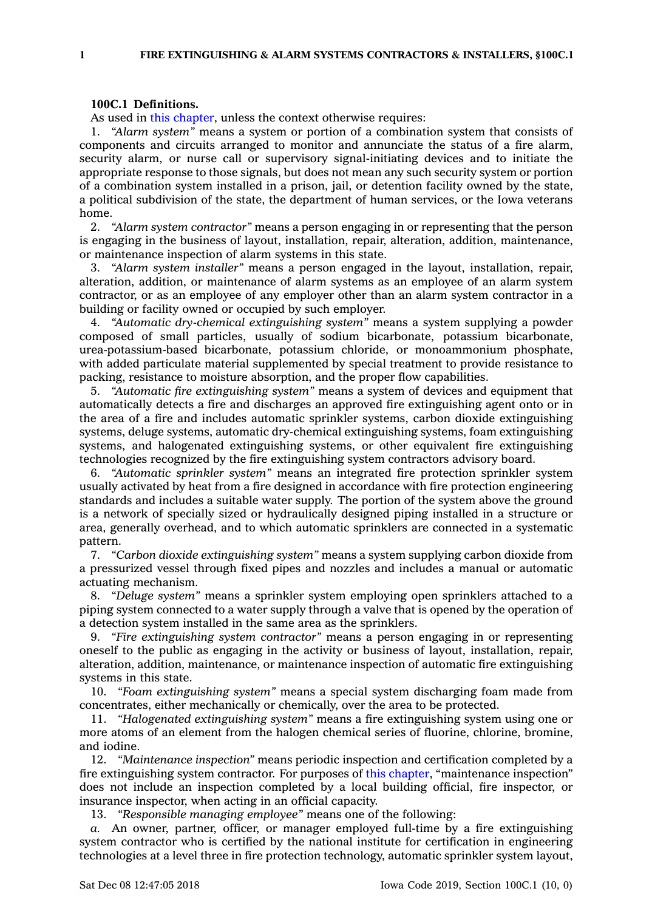## **100C.1 Definitions.**

As used in this [chapter](https://www.legis.iowa.gov/docs/code//100C.pdf), unless the context otherwise requires:

1. *"Alarm system"* means <sup>a</sup> system or portion of <sup>a</sup> combination system that consists of components and circuits arranged to monitor and annunciate the status of <sup>a</sup> fire alarm, security alarm, or nurse call or supervisory signal-initiating devices and to initiate the appropriate response to those signals, but does not mean any such security system or portion of <sup>a</sup> combination system installed in <sup>a</sup> prison, jail, or detention facility owned by the state, <sup>a</sup> political subdivision of the state, the department of human services, or the Iowa veterans home.

2. *"Alarm system contractor"* means <sup>a</sup> person engaging in or representing that the person is engaging in the business of layout, installation, repair, alteration, addition, maintenance, or maintenance inspection of alarm systems in this state.

3. *"Alarm system installer"* means <sup>a</sup> person engaged in the layout, installation, repair, alteration, addition, or maintenance of alarm systems as an employee of an alarm system contractor, or as an employee of any employer other than an alarm system contractor in <sup>a</sup> building or facility owned or occupied by such employer.

4. *"Automatic dry-chemical extinguishing system"* means <sup>a</sup> system supplying <sup>a</sup> powder composed of small particles, usually of sodium bicarbonate, potassium bicarbonate, urea-potassium-based bicarbonate, potassium chloride, or monoammonium phosphate, with added particulate material supplemented by special treatment to provide resistance to packing, resistance to moisture absorption, and the proper flow capabilities.

5. *"Automatic fire extinguishing system"* means <sup>a</sup> system of devices and equipment that automatically detects <sup>a</sup> fire and discharges an approved fire extinguishing agent onto or in the area of <sup>a</sup> fire and includes automatic sprinkler systems, carbon dioxide extinguishing systems, deluge systems, automatic dry-chemical extinguishing systems, foam extinguishing systems, and halogenated extinguishing systems, or other equivalent fire extinguishing technologies recognized by the fire extinguishing system contractors advisory board.

6. *"Automatic sprinkler system"* means an integrated fire protection sprinkler system usually activated by heat from <sup>a</sup> fire designed in accordance with fire protection engineering standards and includes <sup>a</sup> suitable water supply. The portion of the system above the ground is <sup>a</sup> network of specially sized or hydraulically designed piping installed in <sup>a</sup> structure or area, generally overhead, and to which automatic sprinklers are connected in <sup>a</sup> systematic pattern.

7. *"Carbon dioxide extinguishing system"* means <sup>a</sup> system supplying carbon dioxide from <sup>a</sup> pressurized vessel through fixed pipes and nozzles and includes <sup>a</sup> manual or automatic actuating mechanism.

8. *"Deluge system"* means <sup>a</sup> sprinkler system employing open sprinklers attached to <sup>a</sup> piping system connected to <sup>a</sup> water supply through <sup>a</sup> valve that is opened by the operation of <sup>a</sup> detection system installed in the same area as the sprinklers.

9. *"Fire extinguishing system contractor"* means <sup>a</sup> person engaging in or representing oneself to the public as engaging in the activity or business of layout, installation, repair, alteration, addition, maintenance, or maintenance inspection of automatic fire extinguishing systems in this state.

10. *"Foam extinguishing system"* means <sup>a</sup> special system discharging foam made from concentrates, either mechanically or chemically, over the area to be protected.

11. *"Halogenated extinguishing system"* means <sup>a</sup> fire extinguishing system using one or more atoms of an element from the halogen chemical series of fluorine, chlorine, bromine, and iodine.

12. *"Maintenance inspection"* means periodic inspection and certification completed by <sup>a</sup> fire extinguishing system contractor. For purposes of this [chapter](https://www.legis.iowa.gov/docs/code//100C.pdf), "maintenance inspection" does not include an inspection completed by <sup>a</sup> local building official, fire inspector, or insurance inspector, when acting in an official capacity.

13. *"Responsible managing employee"* means one of the following:

*a.* An owner, partner, officer, or manager employed full-time by <sup>a</sup> fire extinguishing system contractor who is certified by the national institute for certification in engineering technologies at <sup>a</sup> level three in fire protection technology, automatic sprinkler system layout,